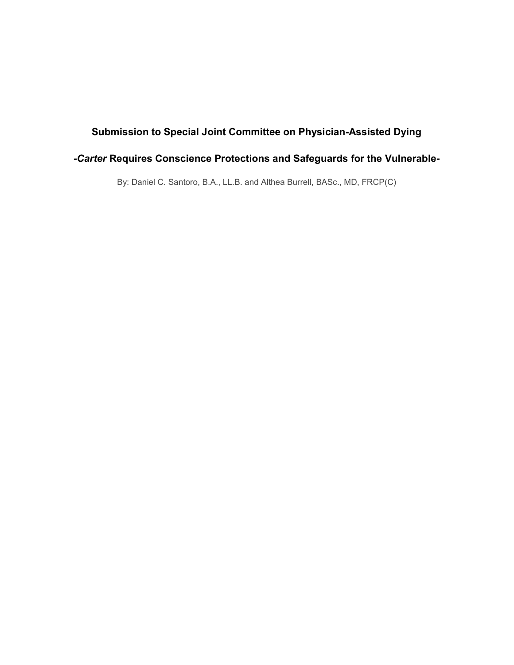# Submission to Special Joint Committee on Physician-Assisted Dying

# -Carter Requires Conscience Protections and Safeguards for the Vulnerable-

By: Daniel C. Santoro, B.A., LL.B. and Althea Burrell, BASc., MD, FRCP(C)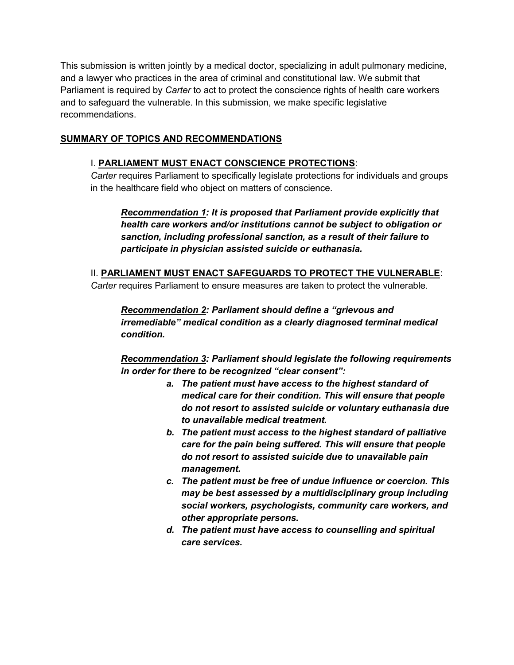This submission is written jointly by a medical doctor, specializing in adult pulmonary medicine, and a lawyer who practices in the area of criminal and constitutional law. We submit that Parliament is required by Carter to act to protect the conscience rights of health care workers and to safeguard the vulnerable. In this submission, we make specific legislative recommendations.

#### SUMMARY OF TOPICS AND RECOMMENDATIONS

#### I. PARLIAMENT MUST ENACT CONSCIENCE PROTECTIONS:

Carter requires Parliament to specifically legislate protections for individuals and groups in the healthcare field who object on matters of conscience.

Recommendation 1: It is proposed that Parliament provide explicitly that health care workers and/or institutions cannot be subject to obligation or sanction, including professional sanction, as a result of their failure to participate in physician assisted suicide or euthanasia.

II. PARLIAMENT MUST ENACT SAFEGUARDS TO PROTECT THE VULNERABLE: Carter requires Parliament to ensure measures are taken to protect the vulnerable.

Recommendation 2: Parliament should define a "grievous and irremediable" medical condition as a clearly diagnosed terminal medical condition.

Recommendation 3: Parliament should legislate the following requirements in order for there to be recognized "clear consent":

- a. The patient must have access to the highest standard of medical care for their condition. This will ensure that people do not resort to assisted suicide or voluntary euthanasia due to unavailable medical treatment.
- b. The patient must access to the highest standard of palliative care for the pain being suffered. This will ensure that people do not resort to assisted suicide due to unavailable pain management.
- c. The patient must be free of undue influence or coercion. This may be best assessed by a multidisciplinary group including social workers, psychologists, community care workers, and other appropriate persons.
- d. The patient must have access to counselling and spiritual care services.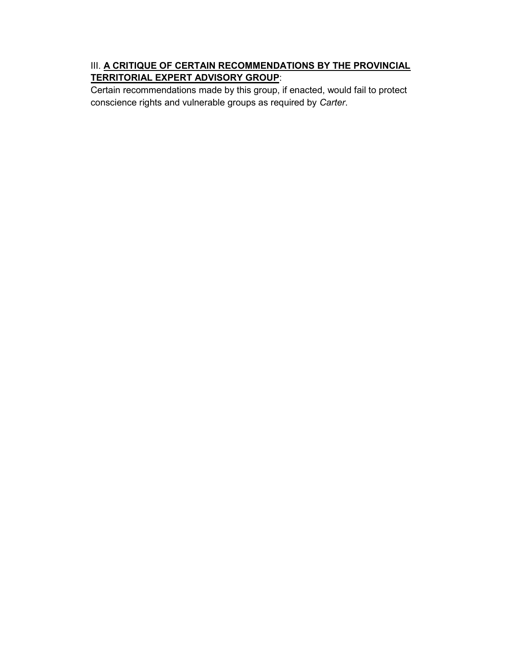### III. A CRITIQUE OF CERTAIN RECOMMENDATIONS BY THE PROVINCIAL TERRITORIAL EXPERT ADVISORY GROUP:

Certain recommendations made by this group, if enacted, would fail to protect conscience rights and vulnerable groups as required by Carter.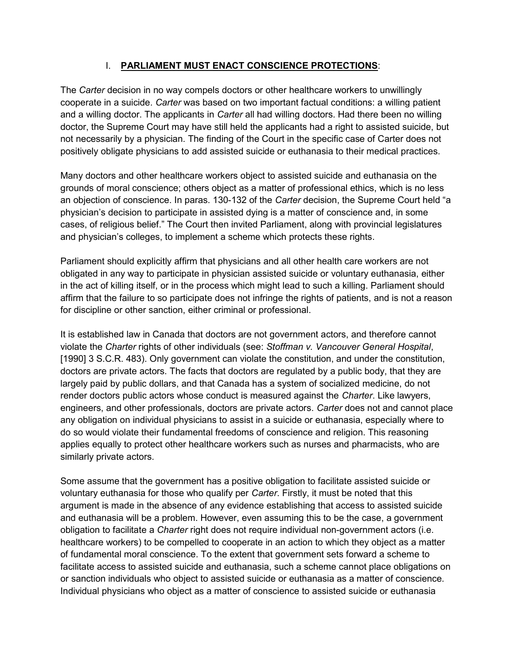### I. PARLIAMENT MUST ENACT CONSCIENCE PROTECTIONS:

The Carter decision in no way compels doctors or other healthcare workers to unwillingly cooperate in a suicide. Carter was based on two important factual conditions: a willing patient and a willing doctor. The applicants in *Carter* all had willing doctors. Had there been no willing doctor, the Supreme Court may have still held the applicants had a right to assisted suicide, but not necessarily by a physician. The finding of the Court in the specific case of Carter does not positively obligate physicians to add assisted suicide or euthanasia to their medical practices.

Many doctors and other healthcare workers object to assisted suicide and euthanasia on the grounds of moral conscience; others object as a matter of professional ethics, which is no less an objection of conscience. In paras. 130-132 of the Carter decision, the Supreme Court held "a physician's decision to participate in assisted dying is a matter of conscience and, in some cases, of religious belief." The Court then invited Parliament, along with provincial legislatures and physician's colleges, to implement a scheme which protects these rights.

Parliament should explicitly affirm that physicians and all other health care workers are not obligated in any way to participate in physician assisted suicide or voluntary euthanasia, either in the act of killing itself, or in the process which might lead to such a killing. Parliament should affirm that the failure to so participate does not infringe the rights of patients, and is not a reason for discipline or other sanction, either criminal or professional.

It is established law in Canada that doctors are not government actors, and therefore cannot violate the Charter rights of other individuals (see: Stoffman v. Vancouver General Hospital, [1990] 3 S.C.R. 483). Only government can violate the constitution, and under the constitution, doctors are private actors. The facts that doctors are regulated by a public body, that they are largely paid by public dollars, and that Canada has a system of socialized medicine, do not render doctors public actors whose conduct is measured against the Charter. Like lawyers, engineers, and other professionals, doctors are private actors. Carter does not and cannot place any obligation on individual physicians to assist in a suicide or euthanasia, especially where to do so would violate their fundamental freedoms of conscience and religion. This reasoning applies equally to protect other healthcare workers such as nurses and pharmacists, who are similarly private actors.

Some assume that the government has a positive obligation to facilitate assisted suicide or voluntary euthanasia for those who qualify per *Carter*. Firstly, it must be noted that this argument is made in the absence of any evidence establishing that access to assisted suicide and euthanasia will be a problem. However, even assuming this to be the case, a government obligation to facilitate a Charter right does not require individual non-government actors (i.e. healthcare workers) to be compelled to cooperate in an action to which they object as a matter of fundamental moral conscience. To the extent that government sets forward a scheme to facilitate access to assisted suicide and euthanasia, such a scheme cannot place obligations on or sanction individuals who object to assisted suicide or euthanasia as a matter of conscience. Individual physicians who object as a matter of conscience to assisted suicide or euthanasia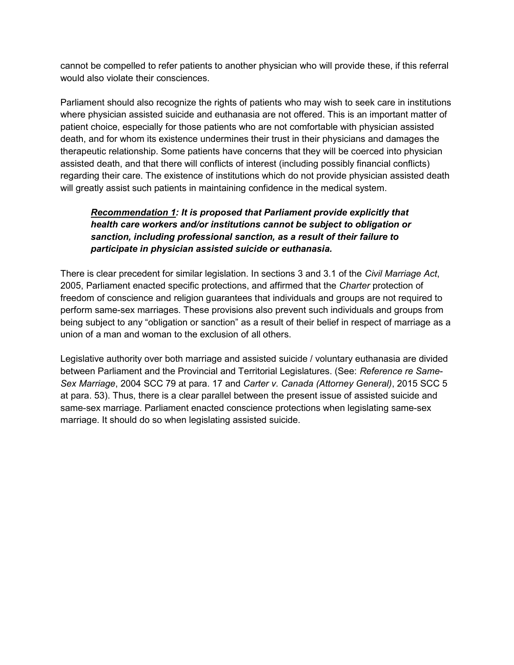cannot be compelled to refer patients to another physician who will provide these, if this referral would also violate their consciences.

Parliament should also recognize the rights of patients who may wish to seek care in institutions where physician assisted suicide and euthanasia are not offered. This is an important matter of patient choice, especially for those patients who are not comfortable with physician assisted death, and for whom its existence undermines their trust in their physicians and damages the therapeutic relationship. Some patients have concerns that they will be coerced into physician assisted death, and that there will conflicts of interest (including possibly financial conflicts) regarding their care. The existence of institutions which do not provide physician assisted death will greatly assist such patients in maintaining confidence in the medical system.

### Recommendation 1: It is proposed that Parliament provide explicitly that health care workers and/or institutions cannot be subject to obligation or sanction, including professional sanction, as a result of their failure to participate in physician assisted suicide or euthanasia.

There is clear precedent for similar legislation. In sections 3 and 3.1 of the Civil Marriage Act, 2005, Parliament enacted specific protections, and affirmed that the Charter protection of freedom of conscience and religion guarantees that individuals and groups are not required to perform same-sex marriages. These provisions also prevent such individuals and groups from being subject to any "obligation or sanction" as a result of their belief in respect of marriage as a union of a man and woman to the exclusion of all others.

Legislative authority over both marriage and assisted suicide / voluntary euthanasia are divided between Parliament and the Provincial and Territorial Legislatures. (See: Reference re Same-Sex Marriage, 2004 SCC 79 at para. 17 and Carter v. Canada (Attorney General), 2015 SCC 5 at para. 53). Thus, there is a clear parallel between the present issue of assisted suicide and same-sex marriage. Parliament enacted conscience protections when legislating same-sex marriage. It should do so when legislating assisted suicide.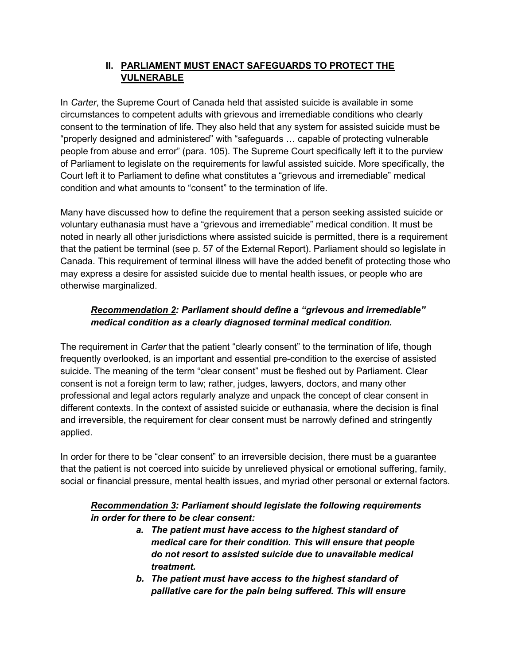## II. PARLIAMENT MUST ENACT SAFEGUARDS TO PROTECT THE VULNERABLE

In Carter, the Supreme Court of Canada held that assisted suicide is available in some circumstances to competent adults with grievous and irremediable conditions who clearly consent to the termination of life. They also held that any system for assisted suicide must be "properly designed and administered" with "safeguards … capable of protecting vulnerable people from abuse and error" (para. 105). The Supreme Court specifically left it to the purview of Parliament to legislate on the requirements for lawful assisted suicide. More specifically, the Court left it to Parliament to define what constitutes a "grievous and irremediable" medical condition and what amounts to "consent" to the termination of life.

Many have discussed how to define the requirement that a person seeking assisted suicide or voluntary euthanasia must have a "grievous and irremediable" medical condition. It must be noted in nearly all other jurisdictions where assisted suicide is permitted, there is a requirement that the patient be terminal (see p. 57 of the External Report). Parliament should so legislate in Canada. This requirement of terminal illness will have the added benefit of protecting those who may express a desire for assisted suicide due to mental health issues, or people who are otherwise marginalized.

# Recommendation 2: Parliament should define a "grievous and irremediable" medical condition as a clearly diagnosed terminal medical condition.

The requirement in Carter that the patient "clearly consent" to the termination of life, though frequently overlooked, is an important and essential pre-condition to the exercise of assisted suicide. The meaning of the term "clear consent" must be fleshed out by Parliament. Clear consent is not a foreign term to law; rather, judges, lawyers, doctors, and many other professional and legal actors regularly analyze and unpack the concept of clear consent in different contexts. In the context of assisted suicide or euthanasia, where the decision is final and irreversible, the requirement for clear consent must be narrowly defined and stringently applied.

In order for there to be "clear consent" to an irreversible decision, there must be a guarantee that the patient is not coerced into suicide by unrelieved physical or emotional suffering, family, social or financial pressure, mental health issues, and myriad other personal or external factors.

### Recommendation 3: Parliament should legislate the following requirements in order for there to be clear consent:

- a. The patient must have access to the highest standard of medical care for their condition. This will ensure that people do not resort to assisted suicide due to unavailable medical treatment.
- b. The patient must have access to the highest standard of palliative care for the pain being suffered. This will ensure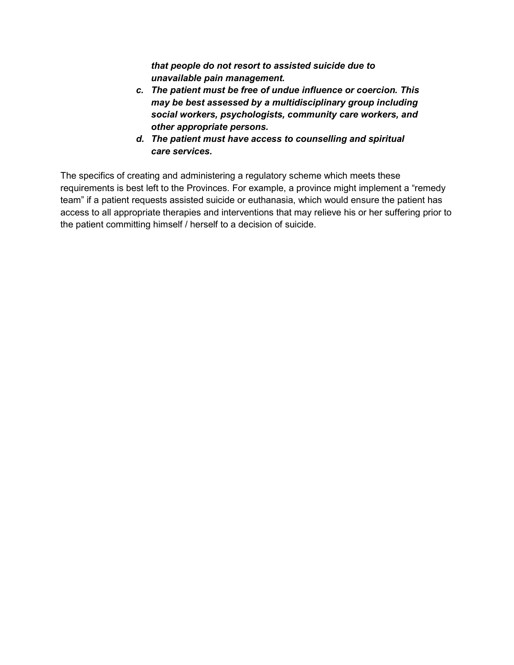that people do not resort to assisted suicide due to unavailable pain management.

- c. The patient must be free of undue influence or coercion. This may be best assessed by a multidisciplinary group including social workers, psychologists, community care workers, and other appropriate persons.
- d. The patient must have access to counselling and spiritual care services.

The specifics of creating and administering a regulatory scheme which meets these requirements is best left to the Provinces. For example, a province might implement a "remedy team" if a patient requests assisted suicide or euthanasia, which would ensure the patient has access to all appropriate therapies and interventions that may relieve his or her suffering prior to the patient committing himself / herself to a decision of suicide.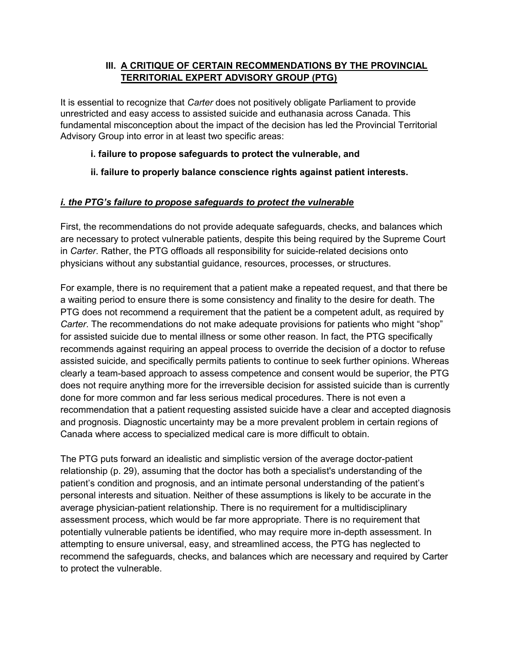### III. A CRITIQUE OF CERTAIN RECOMMENDATIONS BY THE PROVINCIAL TERRITORIAL EXPERT ADVISORY GROUP (PTG)

It is essential to recognize that Carter does not positively obligate Parliament to provide unrestricted and easy access to assisted suicide and euthanasia across Canada. This fundamental misconception about the impact of the decision has led the Provincial Territorial Advisory Group into error in at least two specific areas:

#### i. failure to propose safeguards to protect the vulnerable, and

### ii. failure to properly balance conscience rights against patient interests.

### i. the PTG's failure to propose safeguards to protect the vulnerable

First, the recommendations do not provide adequate safeguards, checks, and balances which are necessary to protect vulnerable patients, despite this being required by the Supreme Court in Carter. Rather, the PTG offloads all responsibility for suicide-related decisions onto physicians without any substantial guidance, resources, processes, or structures.

For example, there is no requirement that a patient make a repeated request, and that there be a waiting period to ensure there is some consistency and finality to the desire for death. The PTG does not recommend a requirement that the patient be a competent adult, as required by Carter. The recommendations do not make adequate provisions for patients who might "shop" for assisted suicide due to mental illness or some other reason. In fact, the PTG specifically recommends against requiring an appeal process to override the decision of a doctor to refuse assisted suicide, and specifically permits patients to continue to seek further opinions. Whereas clearly a team-based approach to assess competence and consent would be superior, the PTG does not require anything more for the irreversible decision for assisted suicide than is currently done for more common and far less serious medical procedures. There is not even a recommendation that a patient requesting assisted suicide have a clear and accepted diagnosis and prognosis. Diagnostic uncertainty may be a more prevalent problem in certain regions of Canada where access to specialized medical care is more difficult to obtain.

The PTG puts forward an idealistic and simplistic version of the average doctor-patient relationship (p. 29), assuming that the doctor has both a specialist's understanding of the patient's condition and prognosis, and an intimate personal understanding of the patient's personal interests and situation. Neither of these assumptions is likely to be accurate in the average physician-patient relationship. There is no requirement for a multidisciplinary assessment process, which would be far more appropriate. There is no requirement that potentially vulnerable patients be identified, who may require more in-depth assessment. In attempting to ensure universal, easy, and streamlined access, the PTG has neglected to recommend the safeguards, checks, and balances which are necessary and required by Carter to protect the vulnerable.